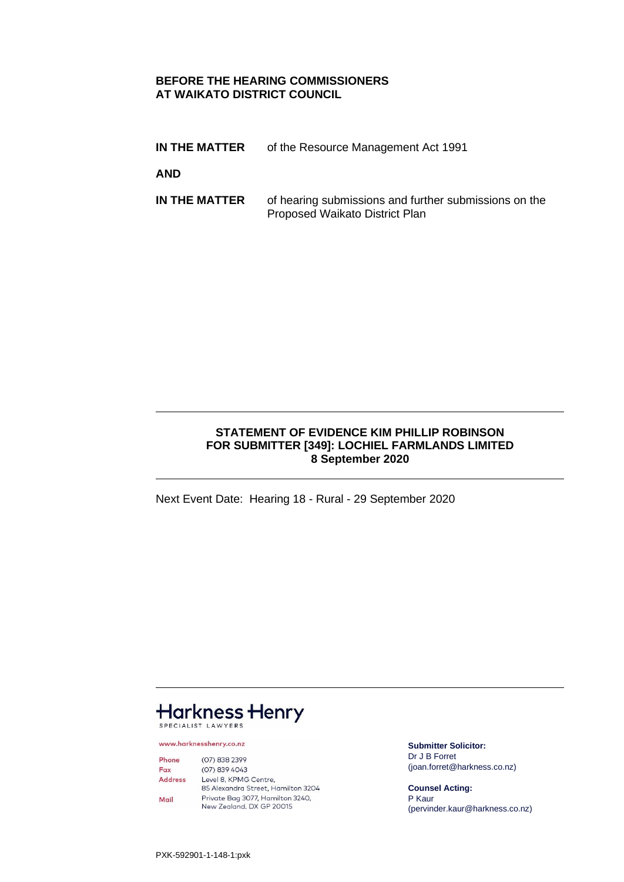### **BEFORE THE HEARING COMMISSIONERS AT WAIKATO DISTRICT COUNCIL**

**IN THE MATTER** of the Resource Management Act 1991

**AND**

**IN THE MATTER** of hearing submissions and further submissions on the Proposed Waikato District Plan

### **STATEMENT OF EVIDENCE KIM PHILLIP ROBINSON FOR SUBMITTER [349]: LOCHIEL FARMLANDS LIMITED 8 September 2020**

Next Event Date: Hearing 18 - Rural - 29 September 2020

# **Harkness Henry** SPECIALIST LAWYERS

www.harknesshenry.co.nz

 $(07) 838 2399$ Phone Fax (07) 839 4043 **Address** Level 8, KPMG Centre, 85 Alexandra Street, Hamilton 3204 Private Bag 3077, Hamilton 3240,<br>New Zealand, DX GP 20015 Mail

**Submitter Solicitor:** Dr J B Forret (joan.forret@harkness.co.nz)

**Counsel Acting:** P Kaur (pervinder.kaur@harkness.co.nz)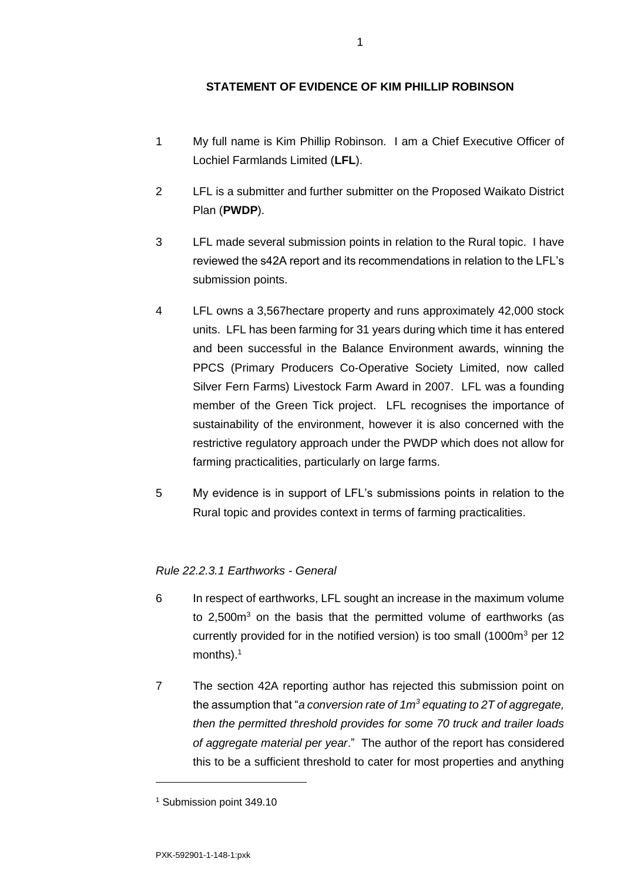## **STATEMENT OF EVIDENCE OF KIM PHILLIP ROBINSON**

- 1 My full name is Kim Phillip Robinson. I am a Chief Executive Officer of Lochiel Farmlands Limited (**LFL**).
- 2 LFL is a submitter and further submitter on the Proposed Waikato District Plan (**PWDP**).
- 3 LFL made several submission points in relation to the Rural topic. I have reviewed the s42A report and its recommendations in relation to the LFL's submission points.
- 4 LFL owns a 3,567hectare property and runs approximately 42,000 stock units. LFL has been farming for 31 years during which time it has entered and been successful in the Balance Environment awards, winning the PPCS (Primary Producers Co-Operative Society Limited, now called Silver Fern Farms) Livestock Farm Award in 2007. LFL was a founding member of the Green Tick project. LFL recognises the importance of sustainability of the environment, however it is also concerned with the restrictive regulatory approach under the PWDP which does not allow for farming practicalities, particularly on large farms.
- 5 My evidence is in support of LFL's submissions points in relation to the Rural topic and provides context in terms of farming practicalities.

### *Rule 22.2.3.1 Earthworks - General*

- 6 In respect of earthworks, LFL sought an increase in the maximum volume to  $2,500m<sup>3</sup>$  on the basis that the permitted volume of earthworks (as currently provided for in the notified version) is too small (1000m<sup>3</sup> per 12 months).<sup>1</sup>
- 7 The section 42A reporting author has rejected this submission point on the assumption that "*a conversion rate of 1m<sup>3</sup> equating to 2T of aggregate, then the permitted threshold provides for some 70 truck and trailer loads of aggregate material per year*." The author of the report has considered this to be a sufficient threshold to cater for most properties and anything

<sup>1</sup> Submission point 349.10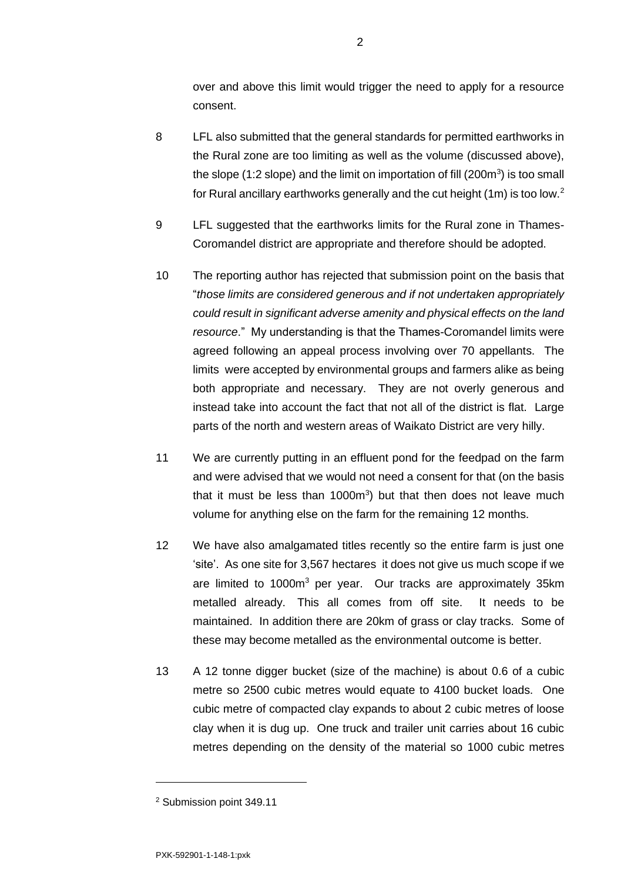over and above this limit would trigger the need to apply for a resource consent.

- 8 LFL also submitted that the general standards for permitted earthworks in the Rural zone are too limiting as well as the volume (discussed above), the slope (1:2 slope) and the limit on importation of fill (200 $m<sup>3</sup>$ ) is too small for Rural ancillary earthworks generally and the cut height (1m) is too low.<sup>2</sup>
- 9 LFL suggested that the earthworks limits for the Rural zone in Thames-Coromandel district are appropriate and therefore should be adopted.
- 10 The reporting author has rejected that submission point on the basis that "*those limits are considered generous and if not undertaken appropriately could result in significant adverse amenity and physical effects on the land resource*." My understanding is that the Thames-Coromandel limits were agreed following an appeal process involving over 70 appellants. The limits were accepted by environmental groups and farmers alike as being both appropriate and necessary. They are not overly generous and instead take into account the fact that not all of the district is flat. Large parts of the north and western areas of Waikato District are very hilly.
- 11 We are currently putting in an effluent pond for the feedpad on the farm and were advised that we would not need a consent for that (on the basis that it must be less than  $1000m<sup>3</sup>$  but that then does not leave much volume for anything else on the farm for the remaining 12 months.
- 12 We have also amalgamated titles recently so the entire farm is just one 'site'. As one site for 3,567 hectares it does not give us much scope if we are limited to 1000m<sup>3</sup> per year. Our tracks are approximately 35km metalled already. This all comes from off site. It needs to be maintained. In addition there are 20km of grass or clay tracks. Some of these may become metalled as the environmental outcome is better.
- 13 A 12 tonne digger bucket (size of the machine) is about 0.6 of a cubic metre so 2500 cubic metres would equate to 4100 bucket loads. One cubic metre of compacted clay expands to about 2 cubic metres of loose clay when it is dug up. One truck and trailer unit carries about 16 cubic metres depending on the density of the material so 1000 cubic metres

<sup>2</sup> Submission point 349.11